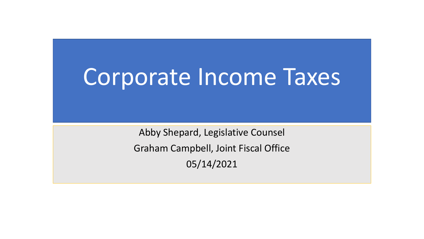# Corporate Income Taxes

Abby Shepard, Legislative Counsel Graham Campbell, Joint Fiscal Office 05/14/2021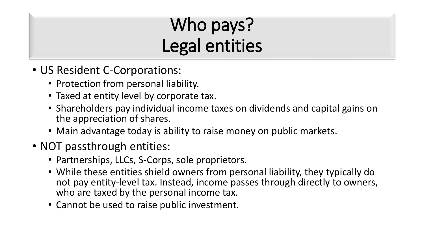# Who pays? Legal entities

- US Resident C-Corporations:
	- Protection from personal liability.
	- Taxed at entity level by corporate tax.
	- Shareholders pay individual income taxes on dividends and capital gains on the appreciation of shares.
	- Main advantage today is ability to raise money on public markets.
- NOT passthrough entities:
	- Partnerships, LLCs, S-Corps, sole proprietors.
	- While these entities shield owners from personal liability, they typically do not pay entity-level tax. Instead, income passes through directly to owners, who are taxed by the personal income tax.
	- Cannot be used to raise public investment.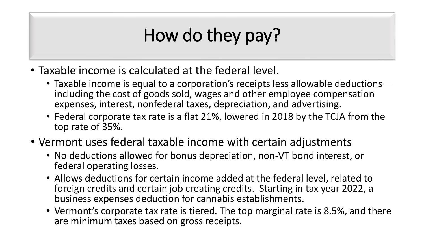## How do they pay?

- Taxable income is calculated at the federal level.
	- Taxable income is equal to a corporation's receipts less allowable deductions including the cost of goods sold, wages and other employee compensation expenses, interest, nonfederal taxes, depreciation, and advertising.
	- Federal corporate tax rate is a flat 21%, lowered in 2018 by the TCJA from the top rate of 35%.
- Vermont uses federal taxable income with certain adjustments
	- No deductions allowed for bonus depreciation, non-VT bond interest, or federal operating losses.
	- Allows deductions for certain income added at the federal level, related to foreign credits and certain job creating credits. Starting in tax year 2022, a business expenses deduction for cannabis establishments.
	- Vermont's corporate tax rate is tiered. The top marginal rate is 8.5%, and there are minimum taxes based on gross receipts.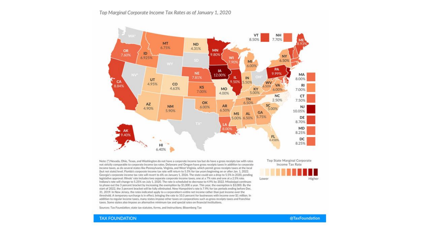#### Top Marginal Corporate Income Tax Rates as of January 1, 2020



income taxes, as do several states like Pennsylvania, Virginia, and West Virginia, which permit gross receipts taxes at the local (but not state) level. Florida's corporate income tax rate will return to 5.5% for tax years beginning on or after Jan. 1, 2022. Georgia's corporate income tax rate will revert to 6% on January 1, 2026. The state could see a drop to 5.5% in 2020, pending legislative approval. Illinois' rate includes two separate corporate income taxes, one at a 7% rate and one at a 2.5% rate. Indiana's rate will change to 5.25% on July 1, 2020. The rate is scheduled to decrease to 4.9% by 2022. Mississippi continues to phase out the 3 percent bracket by increasing the exemption by \$1,000 a year. This year, the exemption is \$3,000. By the start of 2022, the 3 percent bracket will be fully eliminated. New Hampshire's rate is 7.9% for tax periods ending before Dec. 31, 2019. In New Jersey, the rates indicated apply to a corporation's entire net income rather than just income over the threshold. A temporary surcharge is in effect, bringing the rate to 10.5 percent for businesses with income over \$1 million. In addition to regular income taxes, many states impose other taxes on corporations such as gross receipts taxes and franchise taxes. Some states also impose an alternative minimum tax and special rates on financial institutions.

Sources: Tax Foundation; state tax statutes, forms, and instructions; Bloomberg Tax



Lower

**TAX FOUNDATION**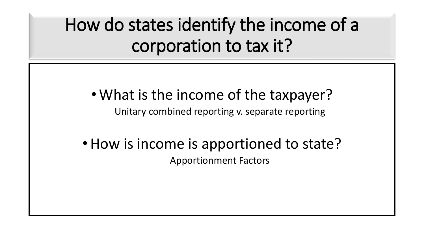How do states identify the income of a corporation to tax it?

#### • What is the income of the taxpayer?

Unitary combined reporting v. separate reporting

#### • How is income is apportioned to state? Apportionment Factors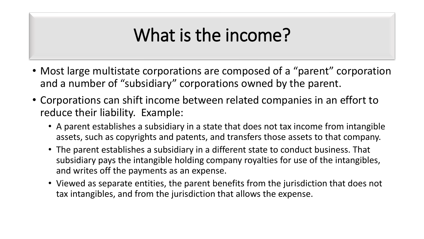#### What is the income?

- Most large multistate corporations are composed of a "parent" corporation and a number of "subsidiary" corporations owned by the parent.
- Corporations can shift income between related companies in an effort to reduce their liability. Example:
	- A parent establishes a subsidiary in a state that does not tax income from intangible assets, such as copyrights and patents, and transfers those assets to that company.
	- The parent establishes a subsidiary in a different state to conduct business. That subsidiary pays the intangible holding company royalties for use of the intangibles, and writes off the payments as an expense.
	- Viewed as separate entities, the parent benefits from the jurisdiction that does not tax intangibles, and from the jurisdiction that allows the expense.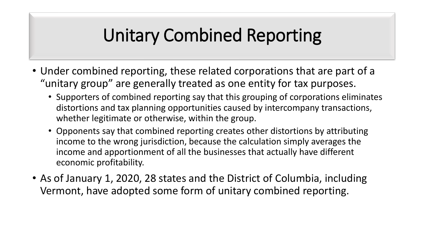### Unitary Combined Reporting

- Under combined reporting, these related corporations that are part of a "unitary group" are generally treated as one entity for tax purposes.
	- Supporters of combined reporting say that this grouping of corporations eliminates distortions and tax planning opportunities caused by intercompany transactions, whether legitimate or otherwise, within the group.
	- Opponents say that combined reporting creates other distortions by attributing income to the wrong jurisdiction, because the calculation simply averages the income and apportionment of all the businesses that actually have different economic profitability.
- As of January 1, 2020, 28 states and the District of Columbia, including Vermont, have adopted some form of unitary combined reporting.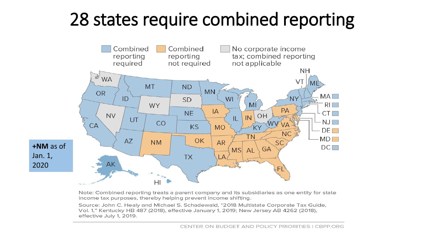### 28 states require combined reporting



Note: Combined reporting treats a parent company and its subsidiaries as one entity for state income tax purposes, thereby helping prevent income shifting.

Source: John C. Healy and Michael S. Schadewald, "2018 Multistate Corporate Tax Guide, Vol. 1," Kentucky HB 487 (2018), effective January 1, 2019; New Jersey AB 4262 (2018), effective July 1, 2019.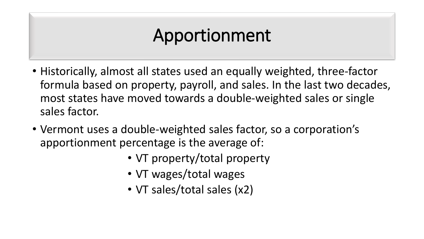#### Apportionment

- Historically, almost all states used an equally weighted, three-factor formula based on property, payroll, and sales. In the last two decades, most states have moved towards a double-weighted sales or single sales factor.
- Vermont uses a double-weighted sales factor, so a corporation's apportionment percentage is the average of:
	- VT property/total property
	- VT wages/total wages
	- VT sales/total sales (x2)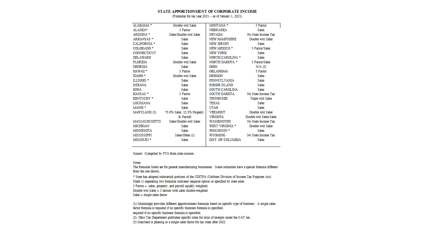#### STATE APPORTIONMENT OF CORPORATE INCOME

(Formulas for tax year 2021 -- as of January 1, 2021)

| ALABAMA *             | Double wtd Sales            | MONTANA *         | 3 Factor               |
|-----------------------|-----------------------------|-------------------|------------------------|
| ALASKA*               | 3 Factor                    | NEBRASKA          | Sales                  |
| ARIZONA *             | Sales/Double wtd Sales      | NEVADA            | No State Income Tax    |
| ARKANSAS <sup>+</sup> | Sales                       | NEW HAMPSHIRE     | Double wtd Sales       |
| <b>CALIFORNIA *</b>   | Sales                       | NEW JERSEY        | Sales                  |
| COLORADO <sup>+</sup> | Sales                       | NEW MEXICO *      | 3 Factor/Sales         |
| CONNECTICUT           | Sales                       | NEW YORK          | Sales                  |
| <b>DELAWARE</b>       | Sales                       | NORTH CAROLINA *  | Sales                  |
| FLORIDA               | Double wtd Sales            | NORTH DAKOTA *    | 3 Factor/Sales         |
| GEORGIA               | Sales                       | OHIO              | N/A (2)                |
| HAWAII <sup>*</sup>   | 3 Factor                    | OKLAHOMA          | 3 Factor               |
| IDAHO *               | Double wtd Sales            | OREGON            | Sales                  |
| ILLINOIS *            | Sales                       | PENNSYLVANIA      | Sales                  |
| INDIANA               | Sales                       | RHODE ISLAND      | Sales                  |
| <b>IOWA</b>           | Sales                       | SOUTH CAROLINA    | Sales                  |
| KANSAS <sup>+</sup>   | 3 Factor                    | SOUTH DAKOTA      | No State Income Tax    |
| <b>KENTUCKY *</b>     | Sales                       | TENNESSEE         | Triple wtd Sales       |
| LOUISIANA             | Sales                       | TEXAS             | Sales                  |
| MAINE *               | Sales                       | UTAH              | Sales                  |
| MARYLAND (3)          | 75.0% Sales, 12.5% Property | VERMONT           | Double wtd Sales       |
|                       | & Pavroll                   | VIRGINIA          | Double wtd Sales/Sales |
| MASSACHUSETTS         | Sales/Double wtd Sales      | WASHINGTON        | No State Income Tax    |
| MICHIGAN              | Sales                       | WEST VIRGINIA *   | Double wtd Sales       |
| MINNESOTA             | Sales                       | WISCONSIN *       | Sales                  |
| MISSISSIPPI           | Sales/Other (1)             | WYOMING           | No State Income Tax    |
| MISSOURI <sup>+</sup> | Sales                       | DIST. OF COLUMBIA | Sales                  |
|                       |                             |                   |                        |

Source: Compiled by FTA from state sources.

#### Notes:

The formulas listed are for general manufacturing businesses. Some industries have a special formula different from the one shown.

\* State has adopted substantial portions of the UDITPA (Uniform Division of Income Tax Purposes Act). Slash (/) separating two formulas indicates taxpayer option or specified by state rules. 3 Factor = sales, property, and payroll equally weighted.

Double wtd Sales =  $3$  factors with sales double-weighted

 $Sales = single sales factor$ 

(1) Mississippi provides different apportionment formulas based on specific type of business. A single sales factor formula is required if no specific business formula is specified. required if no specific business formula is specified. (2) Ohio Tax Department publishes specific rules for situs of receipts under the CAT tax.

(3) Maryland is phasing in a single sales factor for tax years after 2022.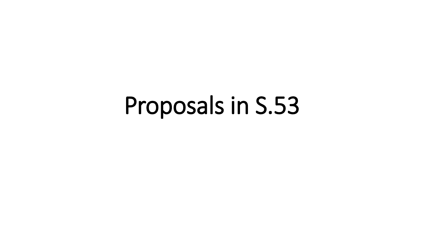# Proposals in S.53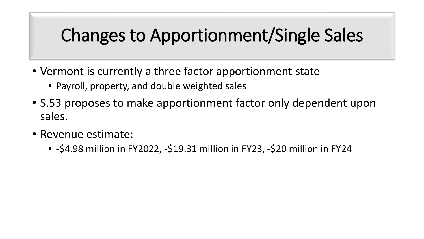### Changes to Apportionment/Single Sales

- Vermont is currently a three factor apportionment state
	- Payroll, property, and double weighted sales
- S.53 proposes to make apportionment factor only dependent upon sales.
- Revenue estimate:
	- -\$4.98 million in FY2022, -\$19.31 million in FY23, -\$20 million in FY24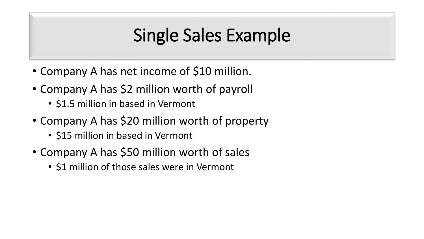#### Single Sales Example

- Company A has net income of \$10 million.
- Company A has \$2 million worth of payroll
	- \$1.5 million in based in Vermont
- Company A has \$20 million worth of property
	- \$15 million in based in Vermont
- Company A has \$50 million worth of sales
	- \$1 million of those sales were in Vermont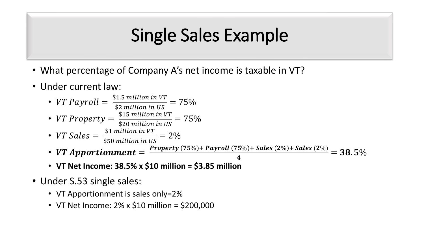#### Single Sales Example

- What percentage of Company A's net income is taxable in VT?
- Under current law:
	- VT Payroll  $=$   $\frac{$1.5 \text{ million in VT}}{$$$ \$2 million in US  $= 75%$ • VT Property  $=\frac{\$15\ million\ in\ VT}{\$20\ million\ in\ UE}$ \$20 million in US  $= 75\%$ • VT Sales  $=$   $\frac{$1 \text{ million in VT}}{$$$ \$50 million in US  $= 2\%$ • VT Apportionment  $=\frac{Property\left(75\%\right)+Payroll\left(75\%\right)+ Sales\left(2\%\right)+ Sales\left(2\%\right)}{4}$ 4  $= 38.5\%$ 
		- **VT Net Income: 38.5% x \$10 million = \$3.85 million**
- Under S.53 single sales:
	- VT Apportionment is sales only=2%
	- VT Net Income: 2% x \$10 million = \$200,000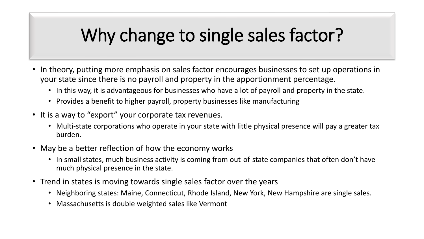### Why change to single sales factor?

- In theory, putting more emphasis on sales factor encourages businesses to set up operations in your state since there is no payroll and property in the apportionment percentage.
	- In this way, it is advantageous for businesses who have a lot of payroll and property in the state.
	- Provides a benefit to higher payroll, property businesses like manufacturing
- It is a way to "export" your corporate tax revenues.
	- Multi-state corporations who operate in your state with little physical presence will pay a greater tax burden.
- May be a better reflection of how the economy works
	- In small states, much business activity is coming from out-of-state companies that often don't have much physical presence in the state.
- Trend in states is moving towards single sales factor over the years
	- Neighboring states: Maine, Connecticut, Rhode Island, New York, New Hampshire are single sales.
	- Massachusetts is double weighted sales like Vermont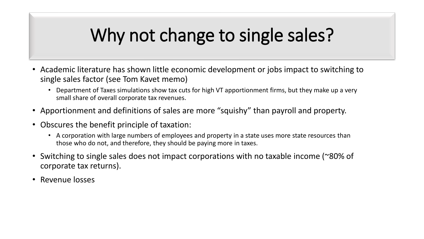## Why not change to single sales?

- Academic literature has shown little economic development or jobs impact to switching to single sales factor (see Tom Kavet memo)
	- Department of Taxes simulations show tax cuts for high VT apportionment firms, but they make up a very small share of overall corporate tax revenues.
- Apportionment and definitions of sales are more "squishy" than payroll and property.
- Obscures the benefit principle of taxation:
	- A corporation with large numbers of employees and property in a state uses more state resources than those who do not, and therefore, they should be paying more in taxes.
- Switching to single sales does not impact corporations with no taxable income (~80% of corporate tax returns).
- Revenue losses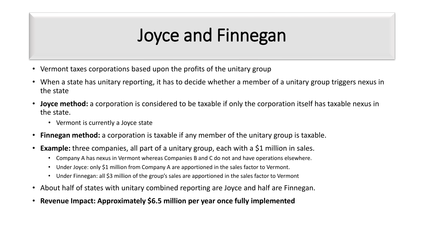### Joyce and Finnegan

- Vermont taxes corporations based upon the profits of the unitary group
- When a state has unitary reporting, it has to decide whether a member of a unitary group triggers nexus in the state
- **Joyce method:** a corporation is considered to be taxable if only the corporation itself has taxable nexus in the state.
	- Vermont is currently a Joyce state
- **Finnegan method:** a corporation is taxable if any member of the unitary group is taxable.
- **Example:** three companies, all part of a unitary group, each with a \$1 million in sales.
	- Company A has nexus in Vermont whereas Companies B and C do not and have operations elsewhere.
	- Under Joyce: only \$1 million from Company A are apportioned in the sales factor to Vermont.
	- Under Finnegan: all \$3 million of the group's sales are apportioned in the sales factor to Vermont
- About half of states with unitary combined reporting are Joyce and half are Finnegan.
- **Revenue Impact: Approximately \$6.5 million per year once fully implemented**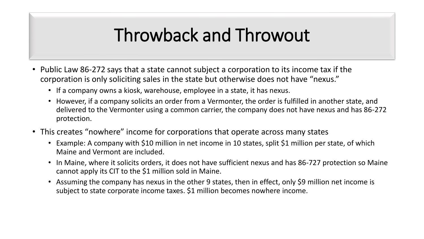#### Throwback and Throwout

- Public Law 86-272 says that a state cannot subject a corporation to its income tax if the corporation is only soliciting sales in the state but otherwise does not have "nexus."
	- If a company owns a kiosk, warehouse, employee in a state, it has nexus.
	- However, if a company solicits an order from a Vermonter, the order is fulfilled in another state, and delivered to the Vermonter using a common carrier, the company does not have nexus and has 86-272 protection.
- This creates "nowhere" income for corporations that operate across many states
	- Example: A company with \$10 million in net income in 10 states, split \$1 million per state, of which Maine and Vermont are included.
	- In Maine, where it solicits orders, it does not have sufficient nexus and has 86-727 protection so Maine cannot apply its CIT to the \$1 million sold in Maine.
	- Assuming the company has nexus in the other 9 states, then in effect, only \$9 million net income is subject to state corporate income taxes. \$1 million becomes nowhere income.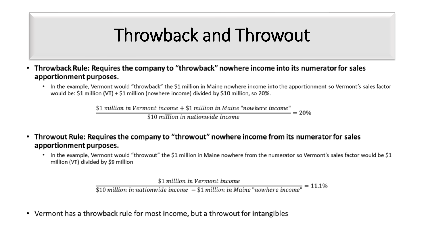#### Throwback and Throwout

- Throwback Rule: Requires the company to "throwback" nowhere income into its numerator for sales  $\bullet$ apportionment purposes.
	- In the example, Vermont would "throwback" the \$1 million in Maine nowhere income into the apportionment so Vermont's sales factor would be: \$1 million (VT) + \$1 million (nowhere income) divided by \$10 million, so 20%.

\$1 million in Vermont income  $+$  \$1 million in Maine "nowhere income"  $= 20%$ 

\$10 million in nationwide income

- Throwout Rule: Requires the company to "throwout" nowhere income from its numerator for sales apportionment purposes.
	- In the example, Vermont would "throwout" the \$1 million in Maine nowhere from the numerator so Vermont's sales factor would be \$1  $\bullet$ million (VT) divided by \$9 million

\$1 million in Vermont income

 $= 11.1\%$  $$10$  million in nationwide income  $- $1$  million in Maine "nowhere income"

• Vermont has a throwback rule for most income, but a throwout for intangibles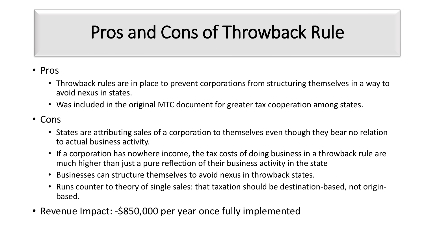# Pros and Cons of Throwback Rule

#### • Pros

- Throwback rules are in place to prevent corporations from structuring themselves in a way to avoid nexus in states.
- Was included in the original MTC document for greater tax cooperation among states.
- Cons
	- States are attributing sales of a corporation to themselves even though they bear no relation to actual business activity.
	- If a corporation has nowhere income, the tax costs of doing business in a throwback rule are much higher than just a pure reflection of their business activity in the state
	- Businesses can structure themselves to avoid nexus in throwback states.
	- Runs counter to theory of single sales: that taxation should be destination-based, not originbased.
- Revenue Impact: -\$850,000 per year once fully implemented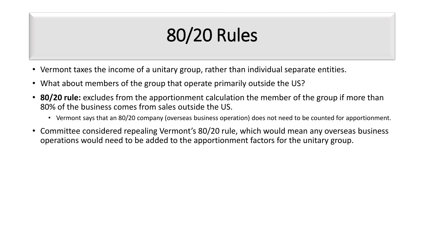# 80/20 Rules

- Vermont taxes the income of a unitary group, rather than individual separate entities.
- What about members of the group that operate primarily outside the US?
- **80/20 rule:** excludes from the apportionment calculation the member of the group if more than 80% of the business comes from sales outside the US.
	- Vermont says that an 80/20 company (overseas business operation) does not need to be counted for apportionment.
- Committee considered repealing Vermont's 80/20 rule, which would mean any overseas business operations would need to be added to the apportionment factors for the unitary group.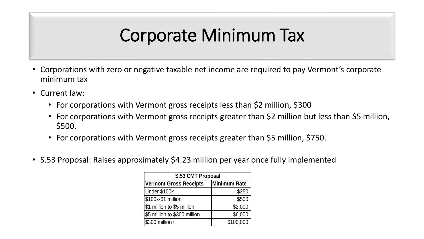#### Corporate Minimum Tax

- Corporations with zero or negative taxable net income are required to pay Vermont's corporate minimum tax
- Current law:
	- For corporations with Vermont gross receipts less than \$2 million, \$300
	- For corporations with Vermont gross receipts greater than \$2 million but less than \$5 million, \$500.
	- For corporations with Vermont gross receipts greater than \$5 million, \$750.
- S.53 Proposal: Raises approximately \$4.23 million per year once fully implemented

| <b>S.53 CMT Proposal</b>      |              |  |  |  |
|-------------------------------|--------------|--|--|--|
| <b>Vermont Gross Receipts</b> | Minimum Rate |  |  |  |
| Under \$100k                  | \$250        |  |  |  |
| \$100k-\$1 million            | \$500        |  |  |  |
| \$1 million to \$5 million    | \$2,000      |  |  |  |
| \$5 million to \$300 million  | \$6,000      |  |  |  |
| \$300 million+                | \$100,000    |  |  |  |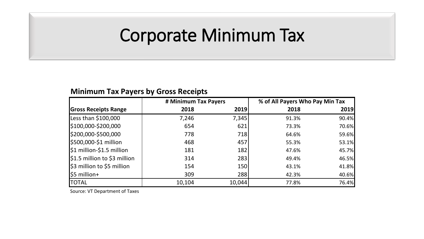#### Corporate Minimum Tax

#### **Minimum Tax Payers by Gross Receipts**

|                              | # Minimum Tax Payers |            | % of All Payers Who Pay Min Tax |       |
|------------------------------|----------------------|------------|---------------------------------|-------|
| <b>Gross Receipts Range</b>  | 2018                 | 2019       | 2018                            | 2019  |
| Less than \$100,000          | 7,246                | 7,345      | 91.3%                           | 90.4% |
| \$100,000-\$200,000          | 654                  | 621        | 73.3%                           | 70.6% |
| \$200,000-\$500,000          | 778                  | 718        | 64.6%                           | 59.6% |
| \$500,000-\$1 million        | 468                  | 457        | 55.3%                           | 53.1% |
| \$1 million-\$1.5 million    | 181                  | 182        | 47.6%                           | 45.7% |
| \$1.5 million to \$3 million | 314                  | 283        | 49.4%                           | 46.5% |
| \$3 million to \$5 million   | 154                  | <b>150</b> | 43.1%                           | 41.8% |
| $$5$ million+                | 309                  | 288        | 42.3%                           | 40.6% |
| <b>TOTAL</b>                 | 10,104               | 10,044     | 77.8%                           | 76.4% |

Source: VT Department of Taxes